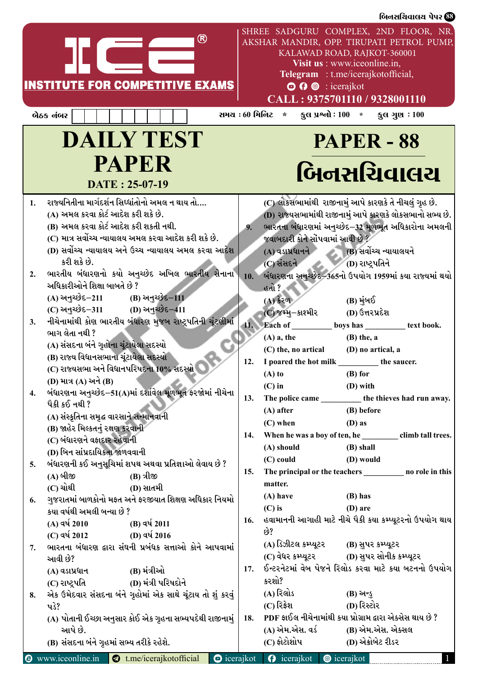| SHREE SADGURU COMPLEX, 2ND FLOOR, NR.<br>AKSHAR MANDIR, OPP. TIRUPATI PETROL PUMP,                                                                                                                                                                                                                                                                                                                                                                                                                                                                                                                                                                                                                                                                                                                                                                                                                                                                                                                                                                                                                                                                                                                                                                                                                                                                                                                                                                                     |                                                                                                                                                                                                                                                                                                                                                                                                                                                                                                                                                                                                                                                                                                                                                                                                                                                                                                                                                                                                                                                                                                                                                                                                                                                                                                                                                                                                                                                                                                                                      |
|------------------------------------------------------------------------------------------------------------------------------------------------------------------------------------------------------------------------------------------------------------------------------------------------------------------------------------------------------------------------------------------------------------------------------------------------------------------------------------------------------------------------------------------------------------------------------------------------------------------------------------------------------------------------------------------------------------------------------------------------------------------------------------------------------------------------------------------------------------------------------------------------------------------------------------------------------------------------------------------------------------------------------------------------------------------------------------------------------------------------------------------------------------------------------------------------------------------------------------------------------------------------------------------------------------------------------------------------------------------------------------------------------------------------------------------------------------------------|--------------------------------------------------------------------------------------------------------------------------------------------------------------------------------------------------------------------------------------------------------------------------------------------------------------------------------------------------------------------------------------------------------------------------------------------------------------------------------------------------------------------------------------------------------------------------------------------------------------------------------------------------------------------------------------------------------------------------------------------------------------------------------------------------------------------------------------------------------------------------------------------------------------------------------------------------------------------------------------------------------------------------------------------------------------------------------------------------------------------------------------------------------------------------------------------------------------------------------------------------------------------------------------------------------------------------------------------------------------------------------------------------------------------------------------------------------------------------------------------------------------------------------------|
| KALAWAD ROAD, RAJKOT-360001<br>Visit us : www.iceonline.in,<br>Telegram : t.me/icerajkotofficial,<br>$\odot$ $\odot$ $\odot$ : icerajkot<br>CALL: 9375701110 / 9328001110                                                                                                                                                                                                                                                                                                                                                                                                                                                                                                                                                                                                                                                                                                                                                                                                                                                                                                                                                                                                                                                                                                                                                                                                                                                                                              | <u>a sa mga sa</u><br><b>INSTITUTE FOR COMPETITIVE EXAMS</b>                                                                                                                                                                                                                                                                                                                                                                                                                                                                                                                                                                                                                                                                                                                                                                                                                                                                                                                                                                                                                                                                                                                                                                                                                                                                                                                                                                                                                                                                         |
| સમય : 60 મિનિટ *<br>કુલ પ્રશ્નો : $100 *$<br>કુલ ગુણ $:100$                                                                                                                                                                                                                                                                                                                                                                                                                                                                                                                                                                                                                                                                                                                                                                                                                                                                                                                                                                                                                                                                                                                                                                                                                                                                                                                                                                                                            | બેઠક નંબર                                                                                                                                                                                                                                                                                                                                                                                                                                                                                                                                                                                                                                                                                                                                                                                                                                                                                                                                                                                                                                                                                                                                                                                                                                                                                                                                                                                                                                                                                                                            |
| <b>PAPER - 88</b>                                                                                                                                                                                                                                                                                                                                                                                                                                                                                                                                                                                                                                                                                                                                                                                                                                                                                                                                                                                                                                                                                                                                                                                                                                                                                                                                                                                                                                                      | <b>DAILY TEST</b>                                                                                                                                                                                                                                                                                                                                                                                                                                                                                                                                                                                                                                                                                                                                                                                                                                                                                                                                                                                                                                                                                                                                                                                                                                                                                                                                                                                                                                                                                                                    |
| બિનસચિવાલચ                                                                                                                                                                                                                                                                                                                                                                                                                                                                                                                                                                                                                                                                                                                                                                                                                                                                                                                                                                                                                                                                                                                                                                                                                                                                                                                                                                                                                                                             | <b>PAPER</b><br>DATE: 25-07-19                                                                                                                                                                                                                                                                                                                                                                                                                                                                                                                                                                                                                                                                                                                                                                                                                                                                                                                                                                                                                                                                                                                                                                                                                                                                                                                                                                                                                                                                                                       |
| (C) લોકસભામાંથી રાજીનામું આપે કારણકે તે નીચલું ગૃહ છે.<br>(D) રાજ્યસભામાંથી રાજીનામું આપે કારણકે લોકસભાનો સભ્ય છે.<br>ભારતના બંધારણમાં અનુચ્છેદ–32 મૂળભૂત અધિકારોના અમલની<br>9.<br>જવાબદારી કોને સોંપવામાં આવી છે ?<br>$(A)$ વડાપ્રધાનને<br>(B) સર્વોચ્ચ ન્યાયાલયને<br>$(C)$ સંસદને<br>(D) રાષ્ટ્રપતિને<br>10. બંધારણના અનુચ્છેદ–365નો ઉપયોગ 1959માં કયા રાજ્યમાં થયો<br>હતો ?<br>$(A)$ કેરળ<br>(B) મુંબઈ<br>(C) જમ્મુ–કાશ્મીર<br>(D) ઉત્તરપ્રદેશ<br>11. Each of<br>boys has<br>text book.<br>$(A)$ a, the<br>$(B)$ the, a<br>(C) the, no artical<br>(D) no artical, a<br>12. I poared the hot milk<br>the saucer.<br>$(B)$ for<br>$(A)$ to<br>$(C)$ in<br>(D) with<br>13.<br>The police came<br>the thieves had run away.<br>(B) before<br>$(A)$ after<br>$(C)$ when<br>$(D)$ as<br>14. When he was a boy of ten, he<br>climb tall trees.<br>(B) shall<br>(A) should<br>(C) could<br>(D) would<br>15. The principal or the teachers<br>no role in this<br>matter.<br>$(A)$ have<br>(B) has<br>$(C)$ is<br>$(D)$ are<br>16. હવામાનની આગાહી માટે નીચે પૈકી કયા કમ્પ્યૂટરનો ઉપયોગ થાય<br>છે?<br>(A) ડિઝીટલ કમ્પ્યૂટર<br>(B) સુપર કમ્પ્યૂટર<br>(D) સુપર સોનીક કમ્પ્યૂટર<br>(C) વેધર કમ્પ્યૂટર<br>17. ઈન્ટરનેટમાં વેબ પેજને રિલોડ કરવા માટે કયા બટનનો ઉપયોગ<br>કરશો?<br>(A) રિલોડ<br>(B) અન્ડુ<br>(D) રિસ્ટોર<br>$(C)$ રિફ્રેશ<br>18. PDF ફાઈલ નીચેનામાંથી કયા પ્રોગ્રામ દ્વારા એક્સેસ થાય છે ?<br>(B) એમ.એસ. એક્સલ<br>(A) એમ.એસ. વર્ડ<br>(C) ફોટોશોપ<br>(D) એક્રોબેટ રીડર | રાજ્યનિતીના માર્ગદર્શન સિઘ્ધાંતોનો અમલ ન થાય તો….<br>(A) અમલ કરવા કોર્ટ આદેશ કરી શકે છે.<br>(B) અમલ કરવા કોર્ટ આદેશ કરી શકતી નથી.<br>(C) માત્ર સર્વોચ્ચ ન્યાયાલય અમલ કરવા આદેશ કરી શકે છે.<br>(D) સર્વોચ્ચ ન્યાયાલય અને ઉચ્ચ ન્યાયાલય અમલ કરવા આદેશ<br>કરી શકે છે.<br>ભારતીય બંધારણનો કયો અનુચ્છેદ અખિલ ભારતીય સેનાના<br>અધિકારીઓને શિક્ષા બાબતે છે ?<br>(A) અનુચ્છેદ–211<br>(B) અનુચ્છેદ–111<br>(C) અનુચ્છેદ–311<br>(D) અનુચ્છેદ–411<br>નીચેનામાંથી કોણ ભારતીય બંધારણ મુજબ રાષ્ટ્રપતિની ચૂંટણીમાં<br>ભાગ લેતા નથી ?<br>(A) સંસદના બંને ગૃહોના ચૂંટાયેલા સદસ્યો<br>(B) રાજ્ય વિધાનસભાના ચૂંટાયેલા સદસ્યો<br>(C) રાજ્યસભા અને વિધાનપરિષદના 10% સદસ્યો<br>(D) માત્ર (A) અને (B)<br>બંધારણના અનુચ્છેદ–51(A)માં દર્શાવેલ મૂળભૂત ફરજોમાં નીચેના<br>પૈકી કઈ નથી ?<br>(A) સંસ્કૃતિના સમૃદ્ધ વારસાને સન્માનવાની<br>(B) જાહેર મિલ્કતનું રક્ષણ કરવાની<br>(C) બંધારણને વફાદાર રહેવાની<br>(D) બિન સાંપ્રદાયિકતા જાળવવાની<br>બંધારણની કઈ અનુસૂચિમાં શપથ અથવા પ્રતિજ્ઞાઓ લેવાય છે ?<br>(A) બીજી<br>(B) ત્રીજી<br>$(C)$ ચોથી<br>(D) સાતમી<br>ગુજરાતમાં બાળકોનો મફત અને ફરજીયાત શિક્ષણ અધિકાર નિયમો<br>કયા વર્ષથી અમલી બન્યા છે ?<br>$(A)$ વર્ષ 2010<br>(B) વર્ષ 2011<br>(D) વર્ષ 2016<br>$(C)$ વર્ષ 2012<br>ભારતના બંધારણ દ્વારા સંઘની પ્રબંધક સત્તાઓ કોને આપવામાં<br>આવી છે?<br>(B) મંત્રીઓ<br>$(A)$ વડાપ્રધાન<br>(D) મંત્રી પરિષદોને<br>(C) રાષ્ટ્રપતિ<br>એક ઉમેદવાર સંસદના બંને ગૃહોમાં એક સાથે ચૂંટાય તો શું કરવું<br>પડે?<br>(A) પોતાની ઈચ્છા અનુસાર કોઈ એક ગૃહના સભ્યપદેથી રાજીનામું  <br>આપે છે.<br>(B) સંસદના બંને ગૃહમાં સભ્ય તરીકે રહેશે. |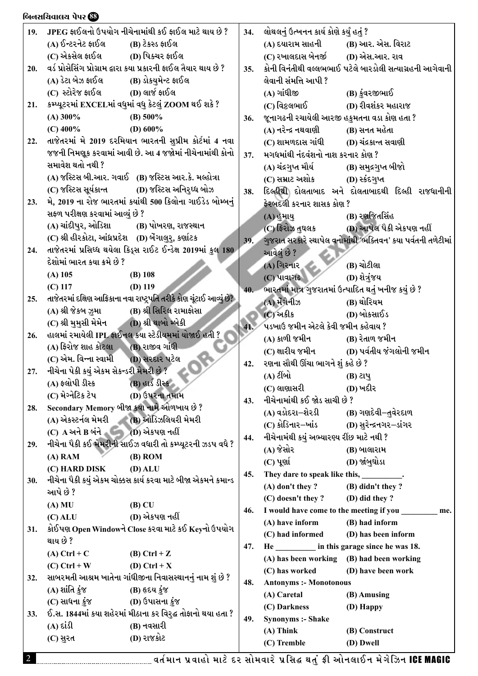|     | બિનસચિવાલય પેપર <b>&amp;</b>                         |                                                                       |     |                                                      |                                                               |
|-----|------------------------------------------------------|-----------------------------------------------------------------------|-----|------------------------------------------------------|---------------------------------------------------------------|
| 19. |                                                      | JPEG ફાઈલનો ઉપયોગ નીચેનામાંથી કઈ ફાઈલ માટે થાય છે ?                   | 34. | લોથલનું ઉત્ખનન કાર્ય કોણે કર્યું હતું ?              |                                                               |
|     | (A) ઈન્ટરનેટ ફાઈલ                                    | (B) ટેકસ્ડ ફાઈલ                                                       |     | (A) દયારામ સાહની                                     | (B) આર. એસ. વિરાટ                                             |
|     | (C) એકસેલ ફાઈલ (D) પિક્ચર ફાઈલ                       |                                                                       |     | (C) રખાલદાસ બેનર્જી (D) એસ.આર. રાવ                   |                                                               |
| 20. |                                                      | વર્ડ પ્રોસેસિંગ પ્રોગ્રામ દ્વારા કયા પ્રકારની ફાઈલ તૈયાર થાય છે ?     | 35. |                                                      | કોની વિનંતીથી વલ્લભભાઈ પટેલે બારડોલી સત્યાગ્રહની આગેવાની      |
|     | (A) ડેટા બેઝ ફાઈલ (B) ડોકયુમેન્ટ ફાઈલ                |                                                                       |     | લેવાની સંમત્તિ આપી ?                                 |                                                               |
|     | (C) સ્ટોરેજ ફાઈલ (D) લાર્જ ફાઈલ                      |                                                                       |     | (A) ગાંધીજી                                          | (B) કુંવરજીભાઈ                                                |
| 21. |                                                      | કમ્પ્યૂટરમાં EXCELમાં વધુમાં વધુ કેટલું ZOOM થઈ શકે ?                 |     | (C) વિકલભાઈ                                          | (D) રીવશંકર મહારાજ                                            |
|     | $(A)$ 300%                                           | (B) $500\%$                                                           | 36. | જૂનાગઢની રચાયેલી આરજી હકુમતના વડા કોણ હતા ?          |                                                               |
|     | $(C)$ 400%                                           | (D) $600\%$                                                           |     | (A) નરેન્દ્ર નથવાણી                                  | (B) સનત મહેતા                                                 |
| 22. |                                                      | તાજેતરમાં મે 2019 દરમિયાન ભારતની સુપ્રીમ કોર્ટમાં 4 નવા               |     | (C) શામળદાસ ગાંધી (D) ચંદ્રકાન્ત સવાણી               |                                                               |
|     |                                                      | જજની નિમણૂક કરવામાં આવી છે. આ 4 જજોમાં નીચેનામાંથી કોનો               | 37. | મગધમાંથી નંદવંશનો નાશ કરનાર કોણ ?                    |                                                               |
|     | સમાવેશ થતો નથી ?                                     |                                                                       |     | (A) ચંદ્રગુપ્ત મૌર્ય                                 | (B) સમુદ્રગુપ્ત બીજો                                          |
|     |                                                      | (A) જસ્ટિસ બી.આર. ગવાઈ (B) જસ્ટિસ આર.કે. મલ્હોત્રા                    |     | (C) સમ્રાટ અશોક                                      | (D) સ્કંદગુપ્ત                                                |
|     |                                                      | (C) જસ્ટિસ સૂર્યકાન્ત (D) જસ્ટિસ અનિરૃઘ્ધ બોઝ                         | 38. |                                                      | દિલ્હીથી દોલતાબાદ અને દોલતાબાદથી દિલ્હી રાજધાનીની             |
| 23. |                                                      | મે, 2019 ના રોજ ભારતમાં કયાંથી 500 કિલોના ગાઈડેડ બોમ્બનું             |     | ફેરબદલી કરનાર શાસક કોણ ?                             |                                                               |
|     | સફળ પરીક્ષણ કરવામાં આવ્યું છે ?                      |                                                                       |     | (A) હુમાયુ                                           | (B) રણજિતસિંહ                                                 |
|     | (A) ચાંદીપુર, ઓડિશા                                  | (B) પોખરણ, રાજસ્થાન                                                   |     | (C) ફિરોઝ તુઘલક                                      | (D) આપેલ પૈકી એકપણ નહીં                                       |
|     | (C) શ્રી હીરકોટા, આંધ્રપ્રદેશ (D) બેંગાલુર્, કર્ણાટક |                                                                       | 39. |                                                      | ગુજરાત સરકારે સ્થાપેલ વનોમાંથી 'ભક્તિવન' કયા પર્વતની તળેટીમાં |
| 24. |                                                      | તાજેતરમાં પ્રસિધ્ધ થયેલા કિડ્સ રાઈટ ઈન્ડેક્ષ 2019માં કુલ 180          |     | આવેલું છે ?                                          |                                                               |
|     | દેશોમાં ભારત કયા ક્રમે છે ?                          |                                                                       |     | (A) ગિરનાર                                           | (B) ચોટીલા                                                    |
|     | $(A)$ 105                                            | $(B)$ 108                                                             |     | $(C)$ પાવાગઢ                                         | (D) શેત્રુંજય                                                 |
|     | $(C)$ 117                                            | $(D)$ 119                                                             | 40. | ભારતમાં માત્ર ગુજરાતમાં ઉત્પાદિત થતું ખનીજ કયું છે ? |                                                               |
| 25. |                                                      | તાજેતરમાં દક્ષિણ આફ્રિકાના નવા રાષ્ટ્રપતિ તરીકે કોણ ચૂંટાઈ આવ્યું છે? |     | (A) મેંગેનીઝ                                         | (B) થોરિયમ                                                    |
|     | (A) શ્રી જેકબ ઝુમા                                   | (B) શ્રી સિરિલ રામાફોસા                                               |     | (C) અકીક                                             | (D) બોકસાઈડ                                                   |
|     | (C) શ્રી મુમુસી મેમેન (D) શ્રી થાબો મ્બેકી           |                                                                       | 41. | પડખાઉ જમીન એટલે કેવી જમીન કહેવાય ?                   |                                                               |
| 26. |                                                      | હાલમાં રમાયેલી IPL ફાઈનલ કયા સ્ટેડીયમમાં યોજાઈ હતી ?                  |     | (A) કાળી જમીન                                        | (B) રેતાળ જમીન                                                |
|     | $(A)$ ફિરોજ શાહ કોટલા $(B)$ રાજીવ ગાંધી              |                                                                       |     |                                                      | (C) ક્ષારીય જમીન (D) પર્વતીય જંગલોની જમીન                     |
|     | (C) એમ. વિન્ના સ્વામી                                | (D) સરદાર પટેલ                                                        | 42. | રણના સૌથી ઊંચા ભાગને શું કહે છે ?                    |                                                               |
| 27. | નીચેના પેકી કયું એકમ સેકન્ડરી મેમરી છે ?             |                                                                       |     | (A) ટીંબો                                            | (B) ટાપુ                                                      |
|     | (A) ફ્લોપી ડીસ્ક                                     | $(B)$ હાર્ડ ડીસ્ક                                                     |     | (C) લાણાસરી                                          | (D) ખદીર                                                      |
|     | (C) મેગ્નેટિક ટેપ                                    | (D) ઉપરના તમામ                                                        | 43. | નીચેનામાંથી કઈ જોડ સાચી છે ?                         |                                                               |
| 28. | Secondary Memory બીજા કયા નામે ઓળખાય છે?             |                                                                       |     | (A) વડોદરા–શેરડી (B) ગણદેવી–તુવેરદાળ                 |                                                               |
|     | (A) એકસ્ટર્નલ મેમરી (B) ઓડિઝલિયરી મેમરી              |                                                                       |     | (C) કોડિનાર–ખાંડ (D) સુરેન્દ્રનગર–ડાંગર              |                                                               |
|     | $(C)$ $A$ અને $B$ બંને $(D)$ એકપણ નહીં               | નીચેના પૈકી કઈ મેમરીની સાઈઝ વધારી તો કમ્પ્યૂટરની ઝડપ વધે ?            | 44. | નીચેનામંથી કયું અભ્યારણ્ય રીંછ માટે નથી ?            |                                                               |
| 29. |                                                      | $(B)$ ROM                                                             |     | (A) જેસોર                                            | (B) બાલારામ                                                   |
|     | $(A)$ RAM<br>(C) HARD DISK                           | $(D)$ ALU                                                             |     | $(C)$ પૂર્ણા                                         | (D) જાંબુઘોડા                                                 |
| 30. |                                                      | નીચેના પૈકી કયું એકમ ચોક્કસ કાર્ય કરવા માટે બીજા એકમને કમાન્ડ         | 45. | They dare to speak like this, _________.             |                                                               |
|     | આપે છે ?                                             |                                                                       |     | $(A)$ don't they ?                                   | (B) didn't they?                                              |
|     | $(A)$ MU                                             | $(B)$ CU                                                              |     | (C) doesn't they?                                    | (D) did they?                                                 |
|     | $(C)$ ALU                                            | (D) એકપણ નહીં                                                         | 46. | I would have come to the meeting if you              | me.                                                           |
| 31. |                                                      | કોઈપણ Open Windowને Close કરવા માટે કઈ Keyનો ઉપયોગ                    |     | (A) have inform                                      | (B) had inform                                                |
|     | થાય છે ?                                             |                                                                       |     | (C) had informed                                     | (D) has been inform                                           |
|     | $(A)$ Ctrl + C                                       | $(B)$ Ctrl + Z                                                        | 47. | He ___________ in this garage since he was 18.       |                                                               |
|     | $(C)$ Ctrl + W                                       | (D) Ctrl + $X$                                                        |     | (A) has been working (B) had been working            |                                                               |
| 32. |                                                      | સાબરમતી આશ્રમ ખાતેના ગાંધીજીના નિવાસસ્થાનનું નામ શું છે ?             |     | (C) has worked                                       | (D) have been work                                            |
|     | (A) શાંતિ કુંજ                                       | (B) હૃદય કુંજ                                                         | 48. | <b>Antonyms :- Monotonous</b>                        |                                                               |
|     | (C) સાધના કુંજ                                       | (D) ઉપાસના કુંજ                                                       |     | (A) Caretal                                          | (B) Amusing                                                   |
| 33. |                                                      | ઈ.સ. 1844માં કયા શહેરમાં મીઠાના કર વિરુદ્ધ તોફાનો થયા હતા ?           |     | (C) Darkness                                         | (D) Happy                                                     |
|     | $(A)$ sist                                           | (B) નવસારી                                                            | 49. | <b>Synonyms :- Shake</b>                             |                                                               |
|     | (C) સુરત                                             | (D) રાજકોટ                                                            |     | $(A)$ Think                                          | (B) Construct                                                 |
|     |                                                      |                                                                       |     | (C) Tremble                                          | (D) Dwell                                                     |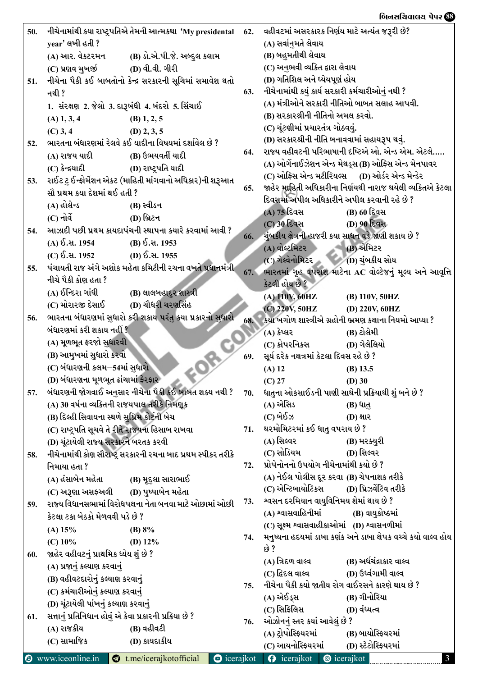| 50. |                                                          | નીચેનામાંથી કયા રાષ્ટ્રપતિએ તેમની આત્મકથા 'My presidental     | 62. | વહીવટમાં અસરકારક નિર્ણય માટે અત્યંત જરૂરી છે?               |                                                                  |
|-----|----------------------------------------------------------|---------------------------------------------------------------|-----|-------------------------------------------------------------|------------------------------------------------------------------|
|     | year' લખી હતી?                                           |                                                               |     | (A) સર્વાનુમતે લેવાય                                        |                                                                  |
|     | (A) આર. વેકટરમન                                          | (B) ડો.એ.પી.જે. અબ્દુલ કલામ                                   |     | (B) બહુમતીથી લેવાય                                          |                                                                  |
|     | (C) પ્રણવ મુખર્જી                                        | (D) વી.વી. ગીરી                                               |     | (C) અનુભવી વ્યકિત દ્વારા લેવાય                              |                                                                  |
| 51. |                                                          | નીચેના પૈકી કઈ બાબતોનો કેન્દ્ર સરકારની સૂચિમાં સમાવેશ થતો     |     | (D) ગતિશિલ અને ધ્યેયપૂર્ણ હોય                               |                                                                  |
|     | નથી ?                                                    |                                                               | 63. | નીચેનામાંથી કયું કાર્ય સરકારી કર્મચારીઓનું નથી ?            |                                                                  |
|     |                                                          | 1. સંરક્ષણ 2. જેલો 3. દારૂબંધી 4. બંદરો 5. સિંચાઈ             |     | (A) મંત્રીઓને સરકારી નીતિઓ બાબત સલાહ આપવી.                  |                                                                  |
|     | $(A)$ 1, 3, 4                                            | $(B)$ 1, 2, 5                                                 |     | (B) સરકારશ્રીની નીતિનો અમલ કરવો.                            |                                                                  |
|     | $(C)$ 3, 4                                               | $(D)$ 2, 3, 5                                                 |     | (C) ચૂંટણીમાં પ્રચારતંત્ર ગોઠવવું.                          |                                                                  |
| 52. |                                                          | ભારતના બંધારણમાં રેલવે કઈ યાદીના વિષયમાં દર્શાવેલ છે ?        |     | (D) સરકારશ્રીની નીતિ બનાવવામાં સહાયરૂપ થવું.                |                                                                  |
|     | (A) રાજય યાદી                                            | (B) ઉભયવર્તી યાદી                                             | 64. |                                                             | રાજ્ય વહીવટની પરિભાષાની દષ્ટિએ ઓ. એન્ડ એમ. એટલે                  |
|     | (C) કેન્દ્રયાદી                                          | (D) રાષ્ટ્રપતિ યાદી                                           |     |                                                             | (A) ઓર્ગેનાઈઝેશન એન્ડ મેથડ્સ (B) ઓફિસ એન્ડ મેનપાવર               |
| 53. |                                                          | રાઈટ ટુ ઈન્ફોર્મેશન એક્ટ (માહિતી માંગવાનો અધિકાર)ની શરૂઆત     |     |                                                             | (C) ઓફિસ એન્ડ મટીરિયલ્સ      (D) ઓર્ડર એન્ડ મેન્ડેર              |
|     | સૌ પ્રથમ કયા દેશમાં થઈ હતી ?                             |                                                               | 65. |                                                             | જાહેર માહિતી અધિકારીના નિર્ણયથી નારાજ થયેલી વ્યકિતએ કેટલા        |
|     | (A) હોલેન્ડ                                              | (B) સ્વીડન                                                    |     | દિવસમાં અપીલ અધિકારીને અપીલ કરવાની રહે છે ?                 |                                                                  |
|     | $(C)$ નોર્વે                                             | (D) બ્રિટન                                                    |     | (A) 75 દિવસ                                                 | (B) 60 દિવસ                                                      |
| 54. |                                                          | આઝાદી પછી પ્રથમ કાયદાપંચની સ્થાપના કયારે કરવામાં આવી ?        |     | (C) 30 દિવસ                                                 | <b>(D) 90 દિવસ</b>                                               |
|     | (A) ઈ.સ. 1954                                            | (B) ઈ.સ. 1953                                                 |     | 66. ચુંબકીય ક્ષેત્રની હાજરી કયા સાધન વડે જાણી શકાય છે ?     |                                                                  |
|     | (C) $\delta$ . at. 1952 (D) $\delta$ . at. 1955          |                                                               |     | (A) વોલ્ટમિટર                                               | (B) એમિટર                                                        |
| 55. |                                                          | પંચાયતી રાજ અંગે અશોક મહેતા કમિટીની રચના વખતે પ્રધાનમંત્રી    |     | (C) ગેલ્વેનોમિટર (D) ચુંબકીય સોય                            |                                                                  |
|     | નીચે પૈકી કોણ હતા ?                                      |                                                               | 67. |                                                             | ભારતમાં ગૃહ વપરાશ માટેના AC વોલ્ટેજનું મૂલ્ય અને આવૃત્તિ         |
|     | (A) ઈન્દિરા ગાંધી                                        | (B) લાલબહાદુર શાસ્ત્રી                                        |     | કેટલી હોય છે ?                                              |                                                                  |
|     | (C) મોરારજી દેસાઈ                                        | (D) ચૌધરી ચરણસિંહ                                             |     | (A) 110V, 60HZ                                              | (B) 110V, 50HZ                                                   |
| 56. |                                                          | ભારતના બંધારણમાં સુધારો કરી શકાય પરંતુ કયા પ્રકારનો સુધારો    |     | (C) 220V, 50HZ                                              | (D) 220V, 60HZ                                                   |
|     | બંધારણમાં કરી શકાય નહીં ?                                |                                                               | 68. |                                                             | કયા ખગોળ શાસ્ત્રીએ ગ્રહોની ભ્રમણ કક્ષાના નિયમો આપ્યા ?           |
|     | (A) મૂળભૂત ફરજો સુધારવી                                  |                                                               |     | (A) કેપ્લર                                                  | (B) ટોલેમી                                                       |
|     | (B) આમુખમાં સુધારો કરવો                                  |                                                               |     | (C) કોપરનિકસ                                                | (D) ગેલેલિયો                                                     |
|     | (C) બંધારણની કલમ–54માં સુધારો                            |                                                               | 69. | સૂર્ય દરેક નક્ષત્રમાં કેટલા દિવસ રહે છે ?                   |                                                                  |
|     | (D) બંધારણના મૂળભૂત ઢાંચામાં ફેરફાર                      |                                                               |     | $(A)$ 12                                                    | $(B)$ 13.5                                                       |
|     |                                                          | બંધારણની જોગવાઈ અનુસાર નીચેના પૈકી કઈ બાબત શક્ય નથી ?         |     | $(C)$ 27                                                    | $(D)$ 30<br>ધાતુના ઓકસાઈડની પાણી સાથેની પ્રક્રિયાથી શું બને છે ? |
| 57. | (A) 30 વર્ષના વ્યકિતની રાજયપાલ તરીકે નિમણૂક              |                                                               | 70. | (A) એસિડ                                                    | (B) ધાતુ                                                         |
|     | (B) દિલ્હી સિવાયના સ્થળે સુપ્રિમ કોર્ટની બેચ             |                                                               |     | (C) બેઈઝ                                                    | <b>(D) ક્ષાર</b>                                                 |
|     | (C) રાષ્ટ્રપતિ સૂચવે તે રીતે રાજયના હિસાબ રાખવા          |                                                               | 71. | થરમોમિટરમાં કઈ ધાતુ વપરાય છે ?                              |                                                                  |
|     | (D) ચૂંટાયેલી રાજ્ય સરકારને બરતક કરવી                    |                                                               |     | (A) સિલ્વર                                                  | (B) મરક્યુરી                                                     |
|     |                                                          | નીચેનામાંથી કોણ સૌરાષ્ટ્ર સરકારની રચના બાદ પ્રથમ સ્પીકર તરીકે |     | (C) સોડિયમ                                                  | (D) સિલ્વર                                                       |
| 58. | નિમાયા હતા ?                                             |                                                               | 72. | પ્રોપેનોનનો ઉપયોગ નીચેનામાંથી કયો છે ?                      |                                                                  |
|     | (A) હંસાબેન મહેતા                                        | (B) મૂદુલા સારાભાઈ                                            |     | (A) નેઈલ પોલીસ દૂર કરવા (B) ચેપનાશક તરીકે                   |                                                                  |
|     | (C) અરૂણા અસફઅલી                                         | (D) પુષ્પાબેન મહેતા                                           |     | (C) એન્ટિબાયોટિકસ                                           | (D) પ્રિઝર્વેટિવ તરીકે                                           |
|     |                                                          | રાજ્ય વિધાનસભામાં વિરોધપક્ષના નેતા બનવા માટે ઓછામાં ઓછી       | 73. | શ્વસન દરમિયાન વાયુવિનિમય શેમાં થાય છે ?                     |                                                                  |
| 59. | કેટલા ટકા બેઠકો મેળવવી પડે છે ?                          |                                                               |     | (A) શ્વાસવાહિનીમાં                                          | (B) વાયુકોષ્ઠમાં                                                 |
|     |                                                          |                                                               |     | (C) સૂક્ષ્મ શ્વાસવાહીકાઓમાં (D) શ્વાસનળીમાં                 |                                                                  |
|     | (A) 15%                                                  | (B) $8\%$                                                     | 74. |                                                             | મનુષ્યના હદયમાં ડાબા કર્ણક અને ડાબા ક્ષેપક વચ્ચે કયો વાલ્વ હોય   |
|     | $(C)$ 10%                                                | (D) $12\%$                                                    |     | છે ?                                                        |                                                                  |
| 60. | જાહેર વહીવટનું પ્રાથમિક ધ્યેય શું છે ?                   |                                                               |     | (A) ત્રિદળ વાલ્વ                                            | (B) અર્ધચંદ્રાકાર વાલ્વ                                          |
|     | (A) પ્રજાનું કલ્યાણ કરવાનું                              |                                                               |     | (C) દ્વિદલ વાલ્વ                                            | (D) ઉર્ધ્વગામી વાલ્વ                                             |
|     | (B) વહીવટદારોનું કલ્યાણ કરવાનું                          |                                                               | 75. | નીચેના પૈકી કયો જાતીય રોગ વાઈરસને કારણે થાય છે ?            |                                                                  |
|     | (C) કર્મચારીઓનું કલ્યાણ કરવાનું                          |                                                               |     | (A) એઈડ્સ                                                   | (B) ગીનોરિયા                                                     |
|     | (D) ચૂંટાયેલી પાંખનું કલ્યાણ કરવાનું                     |                                                               |     | (C) સિફિલિસ                                                 | (D) વંધ્યત્વ                                                     |
| 61. | સત્તાનું પ્રતિનિધાન હોવું એ કેવા પ્રકારની પ્રક્રિયા છે ? |                                                               | 76. | ઓઝોનનું સ્તર કયાં આવેલું છે ?                               |                                                                  |
|     | (A) રાજકીય                                               | (B) વહીવટી                                                    |     | (A) ટ્રોપોસ્ફિયરમાં                                         | (B) બાયોસ્ફિયરમાં                                                |
|     | (C) સામાજિક                                              | (D) કાયદાકીય                                                  |     | (C) આયનોસ્ફિયરમાં                                           | (D) સ્ટેટોસ્ફિયરમાં                                              |
|     |                                                          | $\odot$ www.jceonline.in $\odot$ t me/iceraikotofficial       |     | $\bigcap$ iceraikot $\bigcap$ iceraikot $\bigcap$ iceraikot | $\mathbf{R}$                                                     |

બિનસચિવાલય પેપર <mark>&</mark>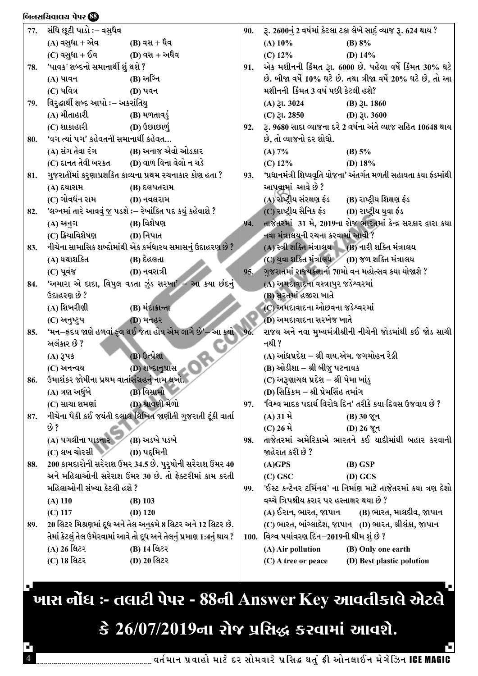|     | બિનસચિવાલય પેપર <b>&amp;</b>                  |                                                                      |     |                                              |                                                                 |
|-----|-----------------------------------------------|----------------------------------------------------------------------|-----|----------------------------------------------|-----------------------------------------------------------------|
| 77. | સંધિ છૂટી પાડો :– વસુધૈવ                      |                                                                      | 90. |                                              | રૂ. 2600નું 2 વર્ષમાં કેટલા ટકા લેખે સાદું વ્યાજ રૂ. 624 થાય ?  |
|     | (A) વસુધા + એવ                                | (B) વસ + ધૈવ                                                         |     | $(A)$ 10%                                    | (B) $8\%$                                                       |
|     | (C) વસુધા + ઈવ (D) વસ + અર્ધૈવ                |                                                                      |     | $(C)$ 12%                                    | (D) $14%$                                                       |
| 78. | 'પાવક' શબ્દનો સમાનાર્થી શું થશે ?             |                                                                      | 91. |                                              | એક મશીનની કિંમત રૂા. 6000 છે. પહેલા વર્ષે કિંમત 30% ઘટે         |
|     | (A) પાવન                                      | (B) અગ્નિ                                                            |     |                                              | છે. બીજા વર્ષે 10% ઘટે છે. તથા ત્રીજા વર્ષે 20% ઘટે છે, તો આ    |
|     | (C) પવિત્ર                                    | <b>(D) પવન</b>                                                       |     | મશીનની કિંમત 3 વર્ષ પછી કેટલી હશે?           |                                                                 |
| 79. | વિરુદ્ઘાર્થી શબ્દ આપો :– અકરાંતિયુ            |                                                                      |     | $(A)$ 3l. 3024                               | $(B)$ $\lambda$ l. 1860                                         |
|     | (A) મીતાહારી                                  | (B) મળતાવડું                                                         |     | $(C)$ 31. 2850                               | (D) $31.3600$                                                   |
|     | (C) શાકાહારી                                  | (D) ઉછાછાળું                                                         | 92. |                                              | રૂ. 9680 સાદા વ્યાજના દરે 2 વર્ષના અંતે વ્યાજ સહિત 10648 થાય    |
| 80. | 'વગ ત્યાં પગ' કહેવતની સમાનાર્થી કહેવત         |                                                                      |     | છે, તો વ્યાજનો દર શોધો.                      |                                                                 |
|     |                                               | (A) સંગ તેવા રંગ (B) અનાજ એવો ઓડકાર                                  |     | (A) 7%                                       | (B) $5\%$                                                       |
|     |                                               | (C) દાનત તેવી બરકત (D) વાળ વિના વેલો ન ચડે                           |     | $(C)$ 12%                                    | (D) $18\%$                                                      |
| 81. |                                               | ગુજરાતીમાં કરુણાપ્રશકિત કાવ્યના પ્રથમ રચનાકાર કોણ હતા ?              | 93. |                                              | 'પ્રધાનમંત્રી શિષ્યવૃતિ યોજના' અંતર્ગત મળતી સહાયતા કયા ફંડમાંથી |
|     | (A) દયારામ                                    | (B) દલપતરામ                                                          |     | આપવામાં આવે છે ?                             |                                                                 |
|     | (C) ગોવર્ધન રામ                               | (D) નવલરામ                                                           |     |                                              | (A) રાષ્ટ્રીય સંરક્ષણ ફંડ (B) રાષ્ટ્રીય શિક્ષણ ફંડ              |
| 82. |                                               | 'લગ્નમાં તારે આવવું <u>જ</u> પડશે ઃ– રેખાંકિત પદ કયું કહેવાશે ?      |     |                                              | (C) રાષ્ટ્રીય સૈનિક ફંડ (D) રાષ્ટ્રીય યુવા ફંડ                  |
|     | (A) અનુગ                                      | (B) વિશેષણ                                                           | 94. |                                              | તાજેતરમાં 31 મે, 2019ના રોજ ભારતમાં કેન્દ્ર સરકાર દ્વારા કયા    |
|     | (C) ક્રિયાવિશેષણ                              | (D) નિપાત                                                            |     | નવા મંત્રાલયની રચના કરવામાં આવી ?            |                                                                 |
| 83. |                                               | નીચેના સામાસિક શબ્દોમાંથી એક કર્મધારય સમાસનું ઉદાહરણ છે ?            |     |                                              | (A) સ્ત્રી શક્તિ મંત્રાલય (B) નારી શક્તિ મંત્રાલય               |
|     | (A) યથાશકિત                                   | (B) દેહલતા                                                           |     |                                              | (C) યુવા શક્તિ મંત્રાલય (D) જળ શક્તિ મંત્રાલય                   |
|     | (C) પૂર્વજ                                    | (D) નવરાત્રી                                                         | 95. |                                              | ગુજરાતમાં રાજ્યકક્ષાનો 70મો વન મહોત્સવ કયા યોજાશે ?             |
| 84. |                                               | 'અમારા એ દાદા, વિપુલ વડતા ઝુંડ સરખા' – આ કયા છંદનું                  |     | (A) અમદાવાદના વસ્ત્રાપુર જડેશ્વરમાં          |                                                                 |
|     | ઉદાહરણ છે ?                                   |                                                                      |     | (B) સુરતમાં હજીરા ખાતે                       |                                                                 |
|     | (A) શિખરીણી                                   | (B) મંદાકાન્તા                                                       |     | (C) અમદાવાદના ઓછવના જડેશ્વરમાં               |                                                                 |
|     | (C) અનુષ્ટ્રપ                                 | <b>(D) મનહર</b>                                                      |     | (D) અમદાવાદના સરખેજ ખાતે                     |                                                                 |
| 85. |                                               | 'મન–હૃદય જાણે હળવાં ફૂલ થઈ જતા હોય એમ લાગે છે'– આ કર્યો              | 96. |                                              | રાજય અને નવા મુખ્યમંત્રીશ્રીની નીચેની જોડમાંથી કઈ જોડ સાચી      |
|     | અલંકાર છે ?                                   |                                                                      |     | નથી ?                                        |                                                                 |
|     | $(A)$ 34s                                     | (B) ઉત્પ્રેક્ષા                                                      |     | (A) આંધ્રપ્રદેશ – શ્રી વાય.એમ. જગમોહન રેડ્ડી |                                                                 |
|     | (C) અનન્વય                                    | (D) શબ્દાનુપ્રાસ                                                     |     | (B) ઓડીશા – શ્રી બીજુ પટનાયક                 |                                                                 |
|     |                                               |                                                                      |     | (C) અરૂણાચલ પ્રદેશ – શ્રી પેમા ખાંડ્         |                                                                 |
| 86. | ઉમાશંકર જોષીના પ્રથમ વાર્તાસંગ્રહનું નામ લખો. |                                                                      |     | (D) સિકિકમ – શ્રી પ્રેમસિંહ તમાંગ            |                                                                 |
|     | (A) ત્રણ અર્ધુબે                              | (B) વિસામો<br>(D) શ્રાવણી મેળો                                       |     |                                              | 'વિશ્વ માદક પદાર્થ વિરોધ દિન' તરીકે કયા દિવસ ઉજવાય છે ?         |
|     | $(C)$ સાચા શમણાં                              |                                                                      | 97. |                                              |                                                                 |
| 87. | છે ?                                          | નીચેના પૈકી કઈ જયંતી દલાલ લિખિત જાણીતી ગુજરાતી ટૂંકી વાર્તા          |     | $(A)$ 31 મે                                  | (B) 30 %ून                                                      |
|     |                                               |                                                                      |     | $(C)$ 26 મે                                  | (D) 26 જૂન                                                      |
|     | (A) પગલીના પાડનાર                             | (B) અડખે પડખે                                                        | 98. |                                              | તાજેતરમાં અમેરિકાએ ભારતને કઈ યાદીમાંથી બહાર કરવાની              |
|     | (C) લખ ચોરસી                                  | (D) પદ્દમિની                                                         |     | જાહેરાત કરી છે ?                             |                                                                 |
| 88. |                                               | 200 કામદારોની સરેરાશ ઉંમર 34.5 છે. પુરુષોની સરેરાશ ઉંમર 40           |     | $(A)$ GPS                                    | $(B)$ GSP                                                       |
|     |                                               | અને મહિલાઓની સરેરાશ ઉંમર 30 છે. તો ફેક્ટરીમાં કામ કરતી               |     | $(C)$ GSC                                    | (D) GCS                                                         |
|     | મહિલાઓની સંખ્યા કેટલી હશે ?                   |                                                                      | 99. |                                              | 'ઈસ્ટ કન્ટેનર ટર્મિનલ' ના નિર્માણ માટે તાજેતરમાં કયા ત્રણ દેશો  |
|     | $(A)$ 110                                     | $(B)$ 103                                                            |     | વચ્ચે ત્રિપક્ષીય કરાર પર હસ્તાક્ષર થયા છે ?  |                                                                 |
|     | $(C)$ 117                                     | $(D)$ 120                                                            |     |                                              | (A) ઈરાન, ભારત, જાપાન (B) ભારત, માલદીવ, જાપાન                   |
| 89. |                                               | 20 લિટર મિશ્રણમાં દૂધ અને તેલ અનુક્રમે 8 લિટર અને 12 લિટર છે.        |     |                                              | (C) ભારત, બાંગ્લાદેશ, જાપાન (D) ભારત, શ્રીલંકા, જાપાન           |
|     |                                               | તેમાં કેટલું તેલ ઉમેરવામાં આવે તો દૂધ અને તેલનું પ્રમાણ 1:4નું થાય ? |     | 100. વિશ્વ પર્યાવરણ દિન-2019ની થીમ શું છે ?  |                                                                 |
|     | (A) 26 લિટર                                   | (B) 14 લિટર                                                          |     | (A) Air pollution                            | (B) Only one earth                                              |
|     | (C) 18 લિટર                                   | (D) 20 લિટર                                                          |     | (C) A tree or peace                          | (D) Best plastic polution                                       |

.<br>'ખાસ નોંધ :- તલાટી પેપર - 88ની Answer Key આવતીકાલે એટલે '

## કે 26/07/2019ના રોજ પ્રસિદ્ધ કરવામાં આવશે.

Ч